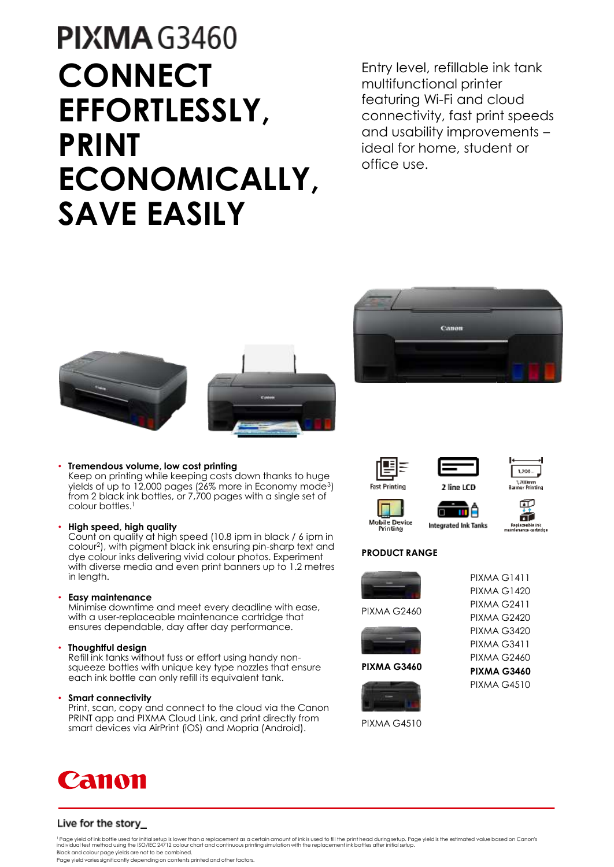## **PIXMA G3460 CONNECT EFFORTLESSLY, PRINT ECONOMICALLY, SAVE EASILY**

Entry level, refillable ink tank multifunctional printer featuring Wi-Fi and cloud connectivity, fast print speeds and usability improvements – ideal for home, student or office use.







Keep on printing while keeping costs down thanks to huge yields of up to 12,000 pages (26% more in Economy mode<sup>3</sup>) from 2 black ink bottles, or 7,700 pages with a single set of colour bottles.<sup>1</sup>

## • **High speed, high quality**

Count on quality at high speed (10.8 ipm in black / 6 ipm in colour<sup>2</sup> ), with pigment black ink ensuring pin-sharp text and dye colour inks delivering vivid colour photos. Experiment with diverse media and even print banners up to 1.2 metres in length.

## • **Easy maintenance**

Minimise downtime and meet every deadline with ease, with a user-replaceable maintenance cartridge that ensures dependable, day after day performance.

## • **Thoughtful design**

Refill ink tanks without fuss or effort using handy nonsqueeze bottles with unique key type nozzles that ensure each ink bottle can only refill its equivalent tank.

## • **Smart connectivity**

Print, scan, copy and connect to the cloud via the Canon PRINT app and PIXMA Cloud Link, and print directly from smart devices via AirPrint (iOS) and Mopria (Android).











**Mobile Device**<br>Printing





## **PRODUCT RANGE**



PIXMA G2460



**PIXMA G3460**



PIXMA G2411 PIXMA G2420 PIXMA G3420 PIXMA G3411 PIXMA G2460 **PIXMA G3460** PIXMA G4510

PIXMA G1411 PIXMA G1420

## Live for the story\_

<sup>1</sup>Page yield of ink bottle used for initial setup is lower than a replacement as a certain amount of ink is used to fill the print head during setup. Page yield is the estimated value based on Canon's individual test method using the ISO/IEC 24712 colour chart and continuous printing simulation with the replacement ink bottles after initial setup. Black and colour page yields are not to be combined.

Page yield varies significantly depending on contents printed and other factors.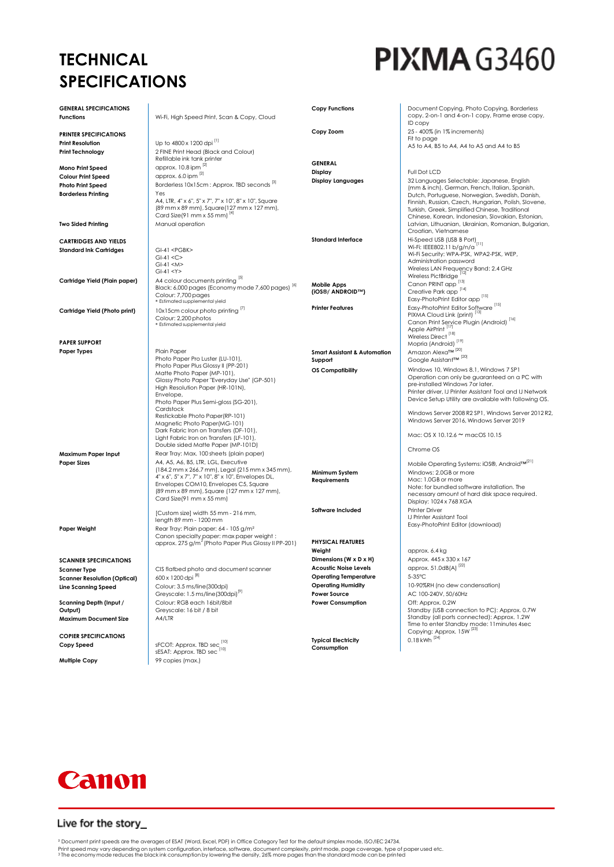## **TECHNICAL SPECIFICATIONS**

# **PIXMA G3460**

| <b>GENERAL SPECIFICATIONS</b><br><b>Functions</b>    | Wi-Fi, High Speed Print, Scan & Copy, Cloud                                                                                               | <b>Copy Functions</b>                   | Document Copying, Photo Copying, Borderless<br>copy, 2-on-1 and 4-on-1 copy, Frame erase copy,<br>ID copy                                                                                                      |
|------------------------------------------------------|-------------------------------------------------------------------------------------------------------------------------------------------|-----------------------------------------|----------------------------------------------------------------------------------------------------------------------------------------------------------------------------------------------------------------|
|                                                      |                                                                                                                                           | Copy Zoom                               | 25 - 400% (in 1% increments)                                                                                                                                                                                   |
| <b>PRINTER SPECIFICATIONS</b>                        | Up to 4800 x 1200 dpi [1]                                                                                                                 |                                         | Fit to page                                                                                                                                                                                                    |
| <b>Print Resolution</b>                              |                                                                                                                                           |                                         | A5 to A4, B5 to A4, A4 to A5 and A4 to B5                                                                                                                                                                      |
| <b>Print Technology</b>                              | 2 FINE Print Head (Black and Colour)<br>Refillable ink tank printer                                                                       |                                         |                                                                                                                                                                                                                |
| Mono Print Speed                                     | approx. 10.8 ipm [2]                                                                                                                      | <b>GENERAL</b>                          |                                                                                                                                                                                                                |
| <b>Colour Print Speed</b>                            | approx. 6.0 ipm [2]                                                                                                                       | Display                                 | Full Dot LCD                                                                                                                                                                                                   |
| <b>Photo Print Speed</b>                             | Borderless 10x15cm : Approx. TBD seconds <sup>[3]</sup>                                                                                   | <b>Display Languages</b>                | 32 Languages Selectable: Japanese, English<br>(mm & inch), German, French, Italian, Spanish,                                                                                                                   |
| <b>Borderless Printing</b>                           | Yes<br>A4, LTR, 4" x 6", 5" x 7", 7" x 10", 8" x 10", Square<br>(89 mm x 89 mm), Square(127 mm x 127 mm),<br>Card Size(91 mm x 55 mm) [4] |                                         | Dutch, Portuguese, Norwegian, Swedish, Danish,<br>Finnish, Russian, Czech, Hungarian, Polish, Slovene,<br>Turkish, Greek, Simplified Chinese, Traditional<br>Chinese, Korean, Indonesian, Slovakian, Estonian, |
| <b>Two Sided Printing</b>                            | Manual operation                                                                                                                          |                                         | Latvian, Lithuanian, Ukrainian, Romanian, Bulgarian,<br>Croatian, Vietnamese                                                                                                                                   |
| <b>CARTRIDGES AND YIELDS</b>                         |                                                                                                                                           | <b>Standard Interface</b>               | Hi-Speed USB (USB B Port)                                                                                                                                                                                      |
| <b>Standard Ink Cartridges</b>                       | GI-41 <pgbk></pgbk>                                                                                                                       |                                         | Wi-Fi: IEEE802.11 b/g/n/a <sup>[11]</sup><br>Wi-Fi Security: WPA-PSK, WPA2-PSK, WEP,                                                                                                                           |
|                                                      | $GI-41 < C$<br>$GI-41 < M>$<br>$GI-41 < Y>$                                                                                               |                                         | Administration password<br>Wireless LAN Frequency Band: 2.4 GHz                                                                                                                                                |
| Cartridge Yield (Plain paper)                        | A4 colour documents printing [5]                                                                                                          |                                         | Wireless PictBridge <sup>[12]</sup><br>Canon PRINT app <sup>[13]</sup>                                                                                                                                         |
|                                                      | Black: 6,000 pages (Economy mode 7,600 pages) [6]<br>Colour: 7,700 pages<br>* Estimated supplemental yield                                | <b>Mobile Apps</b><br>(iOS®/ ANDROID™)  | Creative Park app [14]<br>Easy-PhotoPrint Editor app [15]                                                                                                                                                      |
| Cartridge Yield (Photo print)                        | 10x15cm colour photo printing [7]                                                                                                         | <b>Printer Features</b>                 | Easy-PhotoPrint Editor Software [15]                                                                                                                                                                           |
|                                                      | Colour: 2,200 photos                                                                                                                      |                                         | PIXMA Cloud Link (print) <sup>[13]</sup>                                                                                                                                                                       |
|                                                      | * Estimated supplemental yield                                                                                                            |                                         | Canon Print Service Plugin (Android) <sup>[16]</sup><br>Apple AirPrint <sup>[17]</sup>                                                                                                                         |
|                                                      |                                                                                                                                           |                                         | Wireless Direct <sup>[18]</sup>                                                                                                                                                                                |
| <b>PAPER SUPPORT</b>                                 |                                                                                                                                           |                                         | Mopria (Android) <sup>[19]</sup>                                                                                                                                                                               |
| <b>Paper Types</b>                                   | Plain Paper                                                                                                                               | <b>Smart Assistant &amp; Automation</b> | Amazon Alexa™ <sup>[20]</sup>                                                                                                                                                                                  |
|                                                      | Photo Paper Pro Luster (LU-101),<br>Photo Paper Plus Glossy II (PP-201)                                                                   | Support                                 | Google Assistant™ <sup>[20]</sup>                                                                                                                                                                              |
|                                                      | Matte Photo Paper (MP-101),                                                                                                               | <b>OS Compatibility</b>                 | Windows 10, Windows 8.1, Windows 7 SP1                                                                                                                                                                         |
|                                                      | Glossy Photo Paper "Everyday Use" (GP-501)<br>High Resolution Paper (HR-101N),<br>Envelope,<br>Photo Paper Plus Semi-gloss (SG-201),      |                                         | Operation can only be guaranteed on a PC with<br>pre-installed Windows 7or later.<br>Printer driver, IJ Printer Assistant Tool and IJ Network<br>Device Setup Utility are available with following OS.         |
|                                                      | Cardstock<br>Restickable Photo Paper(RP-101)<br>Magnetic Photo Paper(MG-101)                                                              |                                         | Windows Server 2008 R2 SP1, Windows Server 2012 R2,<br>Windows Server 2016, Windows Server 2019                                                                                                                |
|                                                      | Dark Fabric Iron on Transfers (DF-101),<br>Light Fabric Iron on Transfers (LF-101),<br>Double sided Matte Paper (MP-101D)                 |                                         | Mac: OS X 10.12.6 $\sim$ macOS 10.15<br>Chrome OS                                                                                                                                                              |
| Maximum Paper Input                                  | Rear Tray: Max. 100 sheets (plain paper)                                                                                                  |                                         |                                                                                                                                                                                                                |
| <b>Paper Sizes</b>                                   | A4, A5, A6, B5, LTR, LGL, Executive                                                                                                       |                                         | Mobile Operating Systems: iOS®, Android™ <sup>[21]</sup>                                                                                                                                                       |
|                                                      | (184.2 mm x 266.7 mm), Legal (215 mm x 345 mm),<br>4" x 6", 5" x 7", 7" x 10", 8" x 10", Envelopes DL,                                    | Minimum System                          | Windows: 2.0GB or more                                                                                                                                                                                         |
|                                                      | Envelopes COM10, Envelopes C5, Square                                                                                                     | Requirements                            | Mac: 1.0GB or more                                                                                                                                                                                             |
|                                                      | (89 mm x 89 mm), Square (127 mm x 127 mm),                                                                                                |                                         | Note: for bundled software installation. The<br>necessary amount of hard disk space required.                                                                                                                  |
|                                                      | Card Size(91 mm x 55 mm)                                                                                                                  |                                         | Display: 1024 x 768 XGA                                                                                                                                                                                        |
|                                                      | [Custom size] width 55 mm - 216 mm,                                                                                                       | Software Included                       | <b>Printer Driver</b>                                                                                                                                                                                          |
|                                                      | length 89 mm - 1200 mm                                                                                                                    |                                         | <b>IJ Printer Assistant Tool</b>                                                                                                                                                                               |
| Paper Weight                                         | Rear Tray: Plain paper: 64 - 105 g/m <sup>2</sup>                                                                                         |                                         | Easy-PhotoPrint Editor (download)                                                                                                                                                                              |
|                                                      | Canon specialty paper: max paper weight :<br>approx. 275 g/m <sup>2</sup> (Photo Paper Plus Glossy II PP-201)                             | <b>PHYSICAL FEATURES</b><br>Weight      | approx. 6.4 kg                                                                                                                                                                                                 |
|                                                      |                                                                                                                                           | Dimensions (W x D x H)                  | Approx. 445 x 330 x 167                                                                                                                                                                                        |
| <b>SCANNER SPECIFICATIONS</b><br><b>Scanner Type</b> | CIS flatbed photo and document scanner                                                                                                    | <b>Acoustic Noise Levels</b>            | approx. 51.0dB(A) <sup>[22]</sup>                                                                                                                                                                              |
| <b>Scanner Resolution (Optical)</b>                  | 600 x 1200 dpi <sup>[8]</sup>                                                                                                             | <b>Operating Temperature</b>            | 5-35°C                                                                                                                                                                                                         |
| Line Scanning Speed                                  | Colour: 3.5 ms/line (300dpi)                                                                                                              | <b>Operating Humidity</b>               | 10-90%RH (no dew condensation)                                                                                                                                                                                 |
|                                                      | Greyscale: 1.5 ms/line(300dpi) <sup>[9]</sup>                                                                                             | <b>Power Source</b>                     | AC 100-240V, 50/60Hz                                                                                                                                                                                           |
| Scanning Depth (Input /                              | Colour: RGB each 16bit/8bit                                                                                                               | <b>Power Consumption</b>                | Off: Approx. 0.2W                                                                                                                                                                                              |
| Output)                                              | Greyscale: 16 bit / 8 bit                                                                                                                 |                                         | Standby (USB connection to PC): Approx. 0.7W                                                                                                                                                                   |
| Maximum Document Size                                | A4/LTR                                                                                                                                    |                                         | Standby (all ports connected): Approx. 1.2W                                                                                                                                                                    |
|                                                      |                                                                                                                                           |                                         | Time to enter Standby mode: 11 minutes 4sec<br>Copying: Approx. 15W <sup>[23]</sup>                                                                                                                            |
| <b>COPIER SPECIFICATIONS</b>                         |                                                                                                                                           | <b>Typical Electricity</b>              | $0.18$ kWh $^{[24]}$                                                                                                                                                                                           |
| Copy Speed                                           | sFCOT: Approx. TBD sec                                                                                                                    | Consumption                             |                                                                                                                                                                                                                |
|                                                      | sESAT: Approx. TBD sec <sup>[10]</sup>                                                                                                    |                                         |                                                                                                                                                                                                                |
| <b>Multiple Copy</b>                                 | 99 copies (max.)                                                                                                                          |                                         |                                                                                                                                                                                                                |



## Live for the story\_

ª Document print speeds are the averages of ESAT (Word, Excel, PDF) in Office Category Test for the default simplex mode, ISO/IEC 24734.<br>Print speed may vary depending on system configuration, interface, software, document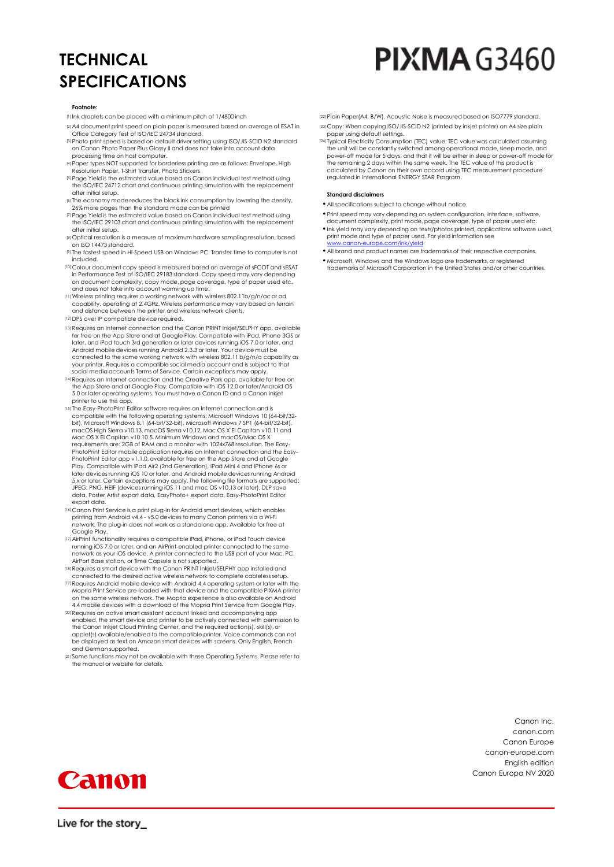## **TECHNICAL SPECIFICATIONS**

# **PIXMA G3460**

#### **Footnote:**

- [1] Ink droplets can be placed with a minimum pitch of 1/4800 inch
- [2]A4 document print speed on plain paper is measured based on average of ESAT in Office Category Test of ISO/IEC 24734 standard.
- [3]Photo print speed is based on default driver setting using ISO/JIS-SCID N2 standard on Canon Photo Paper Plus Glossy II and does not take into account data processing time on host computer.
- [4]Paper types NOT supported for borderless printing are as follows: Envelope, High Resolution Paper, T-Shirt Transfer, Photo Stickers
- [5]Page Yield is the estimated value based on Canon individual test method using the ISO/IEC 24712 chart and continuous printing simulation with the replacement after initial setup.
- [6] The economy mode reduces the black ink consumption by lowering the density, 26% more pages than the standard mode can be printed
- [7]Page Yield is the estimated value based on Canon individual test method using the ISO/IEC 29103 chart and continuous printing simulation with the replacement after initial setup.
- [8]Optical resolution is a measure of maximum hardware sampling resolution, based on ISO 14473 standard.
- [9] The fastest speed in Hi-Speed USB on Windows PC. Transfer time to computer is not included.
- [10] Colour document copy speed is measured based on average of sFCOT and sESAT in Performance Test of ISO/IEC 29183 standard. Copy speed may vary depending on document complexity, copy mode, page coverage, type of paper used etc. and does not take into account warming up time.
- [11]Wireless printing requires a working network with wireless 802.11b/g/n/ac or ad capability, operating at 2.4GHz. Wireless performance may vary based on terrain and distance between the printer and wireless network clients.
- [12] DPS over IP compatible device required.
- [13]Requires an Internet connection and the Canon PRINT Inkjet/SELPHY app, available for free on the App Store and at Google Play. Compatible with iPad, iPhone 3GS or later, and iPod touch 3rd generation or later devices running iOS 7.0 or later, and Android mobile devices running Android 2.3.3 or later. Your device must be connected to the same working network with wireless 802.11 b/g/n/a capability as your printer. Requires a compatible social media account and is subject to that social media accounts Terms of Service. Certain exceptions may apply.
- [14]Requires an Internet connection and the Creative Park app, available for free on the App Store and at Google Play. Compatible with iOS 12.0 or later/Android OS 5.0 or later operating systems. You must have a Canon ID and a Canon inkjet printer to use this app.
- [15] The Easy-PhotoPrint Editor software requires an Internet connection and is compatible with the following operating systems; Microsoft Windows 10 (64-bit/32bit), Microsoft Windows 8.1 (64-bit/32-bit), Microsoft Windows 7 SP1 (64-bit/32-bit),<br>macOS High Sierra v10.13, macOS Sierra v10.12, Mac OS X El Capitan v10.11 and<br>Mac OS X El Capitan v10.10.5. Minimum Windows and macOS/Ma requirements are: 2GB of RAM and a monitor with 1024x768 resolution. The Easy-PhotoPrint Editor mobile application requires an Internet connection and the Easy-PhotoPrint Editor app v1.1.0, available for free on the App Store and at Google Play. Compatible with iPad Air2 (2nd Generation), iPad Mini 4 and iPhone 6s or later devices running iOS 10 or later, and Android mobile devices running Android 5.x or later. Certain exceptions may apply. The following file formats are supported: JPEG, PNG, HEIF (devices running iOS 11 and mac OS v10.13 or later), DLP save data, Poster Artist export data, EasyPhoto+ export data, Easy-PhotoPrint Editor export data.
- [16] Canon Print Service is a print plug-in for Android smart devices, which enables printing from Android v4.4 - v5.0 devices to many Canon printers via a Wi-Fi network. The plug-in does not work as a standalone app. Available for free at Google Play.
- [17]AirPrint functionality requires a compatible iPad, iPhone, or iPod Touch device running iOS 7.0 or later, and an AirPrint-enabled printer connected to the same network as your iOS device. A printer connected to the USB port of your Mac, PC, AirPort Base station, or Time Capsule is not supported.
- [18]Requires a smart device with the Canon PRINT Inkjet/SELPHY app installed and connected to the desired active wireless network to complete cableless setup. [19]Requires Android mobile device with Android 4.4 operating system or later with the
- Mopria Print Service pre-loaded with that device and the compatible PIXMA printer on the same wireless network. The Mopria experience is also available on Android 4.4 mobile devices with a download of the Mopria Print Service from Google Play. [20]Requires an active smart assistant account linked and accompanying app
- enabled, the smart device and printer to be actively connected with permission to the Canon Inkjet Cloud Printing Center, and the required action(s), skill(s), or applet(s) available/enabled to the compatible printer. Voice commands can not be displayed as text on Amazon smart devices with screens. Only English, French and German supported.
- [21] Some functions may not be available with these Operating Systems. Please refer to the manual or website for details.
- [22]Plain Paper(A4, B/W). Acoustic Noise is measured based on ISO7779 standard. [23] Copy: When copying ISO/JIS-SCID N2 (printed by inkjet printer) on A4 size plain
- paper using default settings. [24] Typical Electricity Consumption (TEC) value: TEC value was calculated assuming
- the unit will be constantly switched among operational mode, sleep mode, and power-off mode for 5 days, and that it will be either in sleep or power-off mode for the remaining 2 days within the same week. The TEC value of this product is calculated by Canon on their own accord using TEC measurement procedure regulated in International ENERGY STAR Program.

#### **Standard disclaimers**

- •All specifications subject to change without notice.
- •Print speed may vary depending on system configuration, interface, software, document complexity, print mode, page coverage, type of paper used etc.
- •Ink yield may vary depending on texts/photos printed, applications software used, print mode and type of paper used. For yield information see
- [www.canon-europe.com/ink/yield](http://www.canon-europe.com/ink/yield) •All brand and product names are trademarks of their respective companies.
- •Microsoft, Windows and the Windows logo are trademarks, or registered trademarks of Microsoft Corporation in the United States and/or other countries.

Canon Inc. canon.com Canon Europe canon-europe.com English edition Canon Europa NV 2020



Live for the story\_